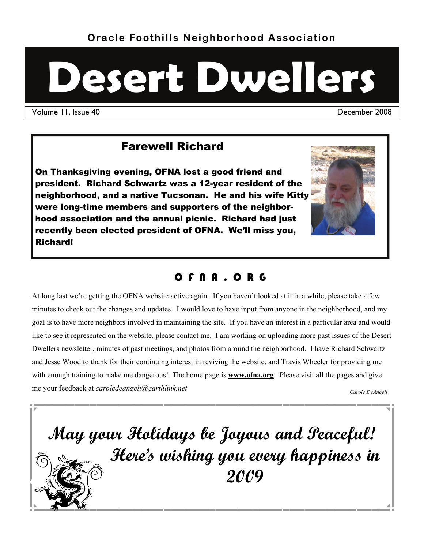# **Desert Dwellers**

Volume 11, Issue 40 December 2008

# Farewell Richard

On Thanksgiving evening, OFNA lost a good friend and president. Richard Schwartz was a 12-year resident of the neighborhood, and a native Tucsonan. He and his wife Kitty were long-time members and supporters of the neighborhood association and the annual picnic. Richard had just recently been elected president of OFNA. We'll miss you, Richard!



## O F N A . O R G

At long last we're getting the OFNA website active again. If you haven't looked at it in a while, please take a few minutes to check out the changes and updates. I would love to have input from anyone in the neighborhood, and my goal is to have more neighbors involved in maintaining the site. If you have an interest in a particular area and would like to see it represented on the website, please contact me. I am working on uploading more past issues of the Desert Dwellers newsletter, minutes of past meetings, and photos from around the neighborhood. I have Richard Schwartz and Jesse Wood to thank for their continuing interest in reviving the website, and Travis Wheeler for providing me with enough training to make me dangerous! The home page is **www.ofna.org** Please visit all the pages and give me your feedback at *caroledeangeli@earthlink.net* Carole DeAngeli *Carole DeAngeli* 

**May your Holidays be Joyous and Peaceful! Here's wishing you every happiness in 2009**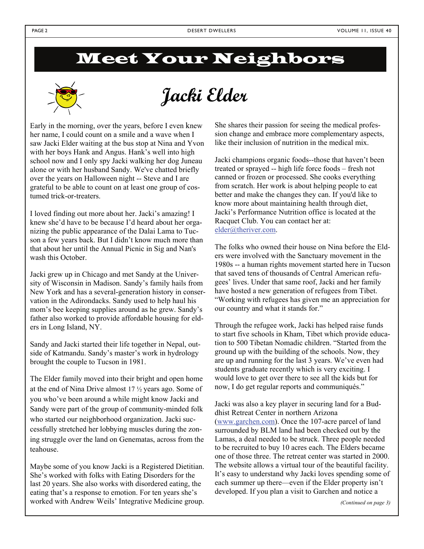# Meet Your Neighbors



**Jacki Elder** 

Early in the morning, over the years, before I even knew her name, I could count on a smile and a wave when I saw Jacki Elder waiting at the bus stop at Nina and Yvon with her boys Hank and Angus. Hank's well into high school now and I only spy Jacki walking her dog Juneau alone or with her husband Sandy. We've chatted briefly over the years on Halloween night -- Steve and I are grateful to be able to count on at least one group of costumed trick-or-treaters.

I loved finding out more about her. Jacki's amazing! I knew she'd have to be because I'd heard about her organizing the public appearance of the Dalai Lama to Tucson a few years back. But I didn't know much more than that about her until the Annual Picnic in Sig and Nan's wash this October.

Jacki grew up in Chicago and met Sandy at the University of Wisconsin in Madison. Sandy's family hails from New York and has a several-generation history in conservation in the Adirondacks. Sandy used to help haul his mom's bee keeping supplies around as he grew. Sandy's father also worked to provide affordable housing for elders in Long Island, NY.

Sandy and Jacki started their life together in Nepal, outside of Katmandu. Sandy's master's work in hydrology brought the couple to Tucson in 1981.

The Elder family moved into their bright and open home at the end of Nina Drive almost 17 ½ years ago. Some of you who've been around a while might know Jacki and Sandy were part of the group of community-minded folk who started our neighborhood organization. Jacki successfully stretched her lobbying muscles during the zoning struggle over the land on Genematas, across from the teahouse.

Maybe some of you know Jacki is a Registered Dietitian. She's worked with folks with Eating Disorders for the last 20 years. She also works with disordered eating, the eating that's a response to emotion. For ten years she's worked with Andrew Weils' Integrative Medicine group. She shares their passion for seeing the medical profession change and embrace more complementary aspects, like their inclusion of nutrition in the medical mix.

Jacki champions organic foods--those that haven't been treated or sprayed -- high life force foods – fresh not canned or frozen or processed. She cooks everything from scratch. Her work is about helping people to eat better and make the changes they can. If you'd like to know more about maintaining health through diet, Jacki's Performance Nutrition office is located at the Racquet Club. You can contact her at: [elder@theriver.com](mailto:elder@theriver.com).

The folks who owned their house on Nina before the Elders were involved with the Sanctuary movement in the 1980s -- a human rights movement started here in Tucson that saved tens of thousands of Central American refugees' lives. Under that same roof, Jacki and her family have hosted a new generation of refugees from Tibet. "Working with refugees has given me an appreciation for our country and what it stands for."

Through the refugee work, Jacki has helped raise funds to start five schools in Kham, Tibet which provide education to 500 Tibetan Nomadic children. "Started from the ground up with the building of the schools. Now, they are up and running for the last 3 years. We've even had students graduate recently which is very exciting. I would love to get over there to see all the kids but for now, I do get regular reports and communiqués."

Jacki was also a key player in securing land for a Buddhist Retreat Center in northern Arizona ([www.garchen.com\)](http://www.garchen.com/). Once the 107-acre parcel of land surrounded by BLM land had been checked out by the Lamas, a deal needed to be struck. Three people needed to be recruited to buy 10 acres each. The Elders became one of those three. The retreat center was started in 2000. The website allows a virtual tour of the beautiful facility. It's easy to understand why Jacki loves spending some of each summer up there—even if the Elder property isn't developed. If you plan a visit to Garchen and notice a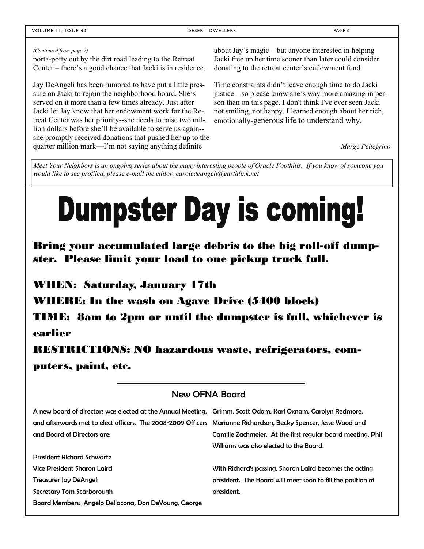#### VOLUME 11, ISSUE 40 DESERT DWELLERS PAGE 3

#### *(Continued from page 2)*

porta-potty out by the dirt road leading to the Retreat Center – there's a good chance that Jacki is in residence.

Jay DeAngeli has been rumored to have put a little pressure on Jacki to rejoin the neighborhood board. She's served on it more than a few times already. Just after Jacki let Jay know that her endowment work for the Retreat Center was her priority--she needs to raise two million dollars before she'll be available to serve us again- she promptly received donations that pushed her up to the quarter million mark—I'm not saying anything definite

about Jay's magic – but anyone interested in helping Jacki free up her time sooner than later could consider donating to the retreat center's endowment fund.

Time constraints didn't leave enough time to do Jacki justice – so please know she's way more amazing in person than on this page. I don't think I've ever seen Jacki not smiling, not happy. I learned enough about her rich, emotionally-generous life to understand why.

*Marge Pellegrino* 

*Meet Your Neighbors is an ongoing series about the many interesting people of Oracle Foothills. If you know of someone you would like to see profiled, please e-mail the editor, caroledeangeli@earthlink.net* 

# **Dumpster Day is coming!**

Bring your accumulated large debris to the big roll-off dumpster. Please limit your load to one pickup truck full.

WHEN: Saturday, January 17th

WHERE: In the wash on Agave Drive (5400 block)

TIME: 8am to 2pm or until the dumpster is full, whichever is earlier

RESTRICTIONS: NO hazardous waste, refrigerators, computers, paint, etc.

#### New OFNA Board

| A new board of directors was elected at the Annual Meeting, Grimm, Scott Odom, Karl Oxnam, Carolyn Redmore,     |                                                             |
|-----------------------------------------------------------------------------------------------------------------|-------------------------------------------------------------|
| and afterwards met to elect officers. The 2008-2009 Officers Marianne Richardson, Becky Spencer, Jesse Wood and |                                                             |
| and Board of Directors are:                                                                                     | Camille Zachmeier. At the first regular board meeting, Phil |
|                                                                                                                 | Williams was also elected to the Board.                     |
| <b>President Richard Schwartz</b>                                                                               |                                                             |
| Vice President Sharon Laird                                                                                     | With Richard's passing, Sharon Laird becomes the acting     |
| Treasurer Jay DeAngeli                                                                                          | president. The Board will meet soon to fill the position of |
| Secretary Tom Scarborough                                                                                       | president.                                                  |
| Board Members: Angelo Dellacona, Don DeYoung, George                                                            |                                                             |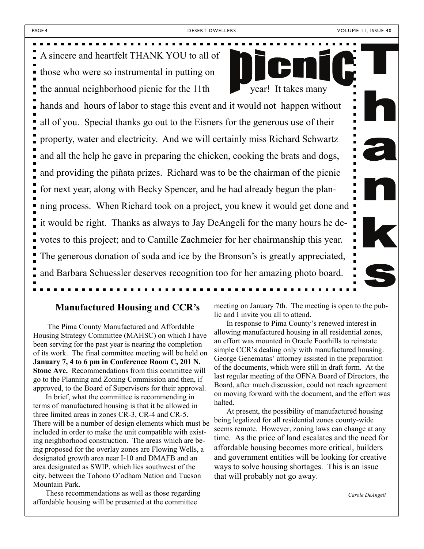A sincere and heartfelt THANK YOU to all of those who were so instrumental in putting on the annual neighborhood picnic for the 11th  $\bullet$  year! It takes many

hands and hours of labor to stage this event and it would not happen without all of you. Special thanks go out to the Eisners for the generous use of their property, water and electricity. And we will certainly miss Richard Schwartz and all the help he gave in preparing the chicken, cooking the brats and dogs, and providing the piñata prizes. Richard was to be the chairman of the picnic for next year, along with Becky Spencer, and he had already begun the planning process. When Richard took on a project, you knew it would get done and it would be right. Thanks as always to Jay DeAngeli for the many hours he devotes to this project; and to Camille Zachmeier for her chairmanship this year. The generous donation of soda and ice by the Bronson's is greatly appreciated, and Barbara Schuessler deserves recognition too for her amazing photo board.

#### **Manufactured Housing and CCR's**

 The Pima County Manufactured and Affordable Housing Strategy Committee (MAHSC) on which I have been serving for the past year is nearing the completion of its work. The final committee meeting will be held on **January 7, 4 to 6 pm in Conference Room C, 201 N. Stone Ave.** Recommendations from this committee will go to the Planning and Zoning Commission and then, if approved, to the Board of Supervisors for their approval.

In brief, what the committee is recommending in terms of manufactured housing is that it be allowed in three limited areas in zones CR-3, CR-4 and CR-5. There will be a number of design elements which must be included in order to make the unit compatible with existing neighborhood construction. The areas which are being proposed for the overlay zones are Flowing Wells, a designated growth area near I-10 and DMAFB and an area designated as SWIP, which lies southwest of the city, between the Tohono O'odham Nation and Tucson Mountain Park.

These recommendations as well as those regarding affordable housing will be presented at the committee

meeting on January 7th. The meeting is open to the public and I invite you all to attend.

In response to Pima County's renewed interest in allowing manufactured housing in all residential zones, an effort was mounted in Oracle Foothills to reinstate simple CCR's dealing only with manufactured housing. George Genematas' attorney assisted in the preparation of the documents, which were still in draft form. At the last regular meeting of the OFNA Board of Directors, the Board, after much discussion, could not reach agreement on moving forward with the document, and the effort was halted.

At present, the possibility of manufactured housing being legalized for all residential zones county-wide seems remote. However, zoning laws can change at any time. As the price of land escalates and the need for affordable housing becomes more critical, builders and government entities will be looking for creative ways to solve housing shortages. This is an issue that will probably not go away.

*Carole DeAngeli*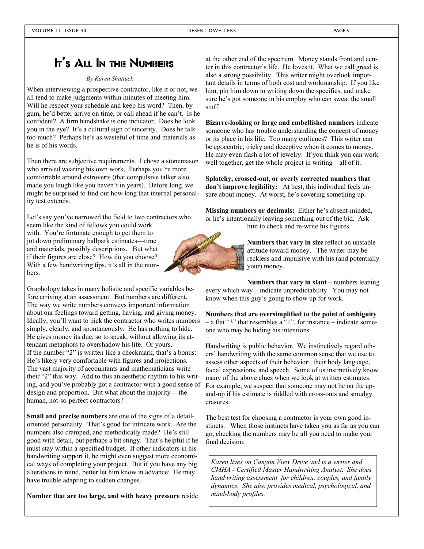### It's All In the Numbers

#### *By Karen Shattuck*

When interviewing a prospective contractor, like it or not, we all tend to make judgments within minutes of meeting him. Will he respect your schedule and keep his word? Then, by gum, he'd better arrive on time, or call ahead if he can't. Is he confident? A firm handshake is one indicator. Does he look you in the eye? It's a cultural sign of sincerity. Does he talk too much? Perhaps he's as wasteful of time and materials as he is of his words.

Then there are subjective requirements. I chose a stonemason who arrived wearing his own work. Perhaps you're more comfortable around extroverts (that compulsive talker also made you laugh like you haven't in years). Before long, we might be surprised to find out how long that internal personality test extends.

Let's say you've narrowed the field to two contractors who seem like the kind of fellows you could work with. You're fortunate enough to get them to

jot down preliminary ballpark estimates—time and materials, possibly descriptions. But what if their figures are close? How do you choose? With a few handwriting tips, it's all in the numbers.

Graphology takes in many holistic and specific variables before arriving at an assessment. But numbers are different. The way we write numbers conveys important information about our feelings toward getting, having, and giving money. Ideally, you'll want to pick the contractor who writes numbers simply, clearly, and spontaneously. He has nothing to hide. He gives money its due, so to speak, without allowing its attendant metaphors to overshadow his life. Or yours. If the number "2" is written like a checkmark, that's a bonus: He's likely very comfortable with figures and projections. The vast majority of accountants and mathematicians write their "2" this way. Add to this an aesthetic rhythm to his writing, and you've probably got a contractor with a good sense of design and proportion. But what about the majority -- the human, not-so-perfect contractors?

**Small and precise numbers** are one of the signs of a detailoriented personality. That's good for intricate work. Are the numbers also cramped, and methodically made? He's still good with detail, but perhaps a bit stingy. That's helpful if he must stay within a specified budget. If other indicators in his handwriting support it, he might even suggest more economical ways of completing your project. But if you have any big alterations in mind, better let him know in advance: He may have trouble adapting to sudden changes.

**Number that are too large, and with heavy pressure** reside

at the other end of the spectrum. Money stands front and center in this contractor's life. He loves it. What we call greed is also a strong possibility. This writer might overlook important details in terms of both cost and workmanship. If you like him, pin him down to writing down the specifics, and make sure he's got someone in his employ who can sweat the small stuff.

**Bizarre-looking or large and embellished numbers** indicate someone who has trouble understanding the concept of money or its place in his life. Too many curlicues? This writer can be egocentric, tricky and deceptive when it comes to money. He may even flash a lot of jewelry. If you think you can work well together, get the whole project in writing – all of it.

**Splotchy, crossed-out, or overly corrected numbers that don't improve legibility:** At best, this individual feels unsure about money. At worst, he's covering something up.

**Missing numbers or decimals:** Either he's absent-minded, or he's intentionally leaving something out of the bid. Ask him to check and re-write his figures.



**Numbers that vary in size** reflect an unstable attitude toward money. The writer may be reckless and impulsive with his (and potentially your) money.

**Numbers that vary in slant** – numbers leaning every which way – indicate unpredictability. You may not know when this guy's going to show up for work.

**Numbers that are oversimplified to the point of ambiguity** – a flat "3" that resembles a "1", for instance – indicate someone who may be hiding his intentions.

Handwriting is public behavior. We instinctively regard others' handwriting with the same common sense that we use to assess other aspects of their behavior: their body language, facial expressions, and speech. Some of us instinctively know many of the above clues when we look at written estimates. For example, we suspect that someone may not be on the upand-up if his estimate is riddled with cross-outs and smudgy erasures.

The best test for choosing a contractor is your own good instincts. When those instincts have taken you as far as you can go, checking the numbers may be all you need to make your final decision.

*Karen lives on Canyon View Drive and is a writer and CMHA - Certified Master Handwriting Analyst. She does handwriting assessment for children, couples, and family dynamics. She also provides medical, psychological, and mind-body profiles.*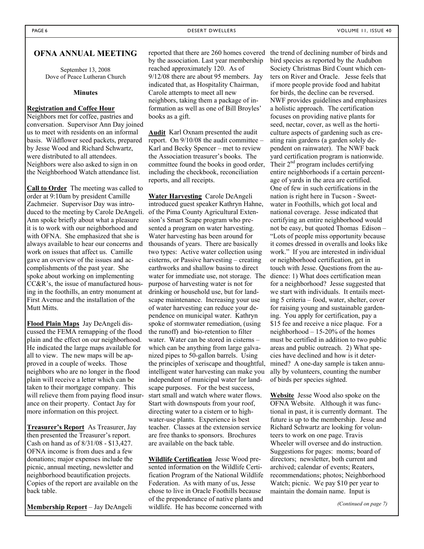#### **OFNA ANNUAL MEETING**

September 13, 2008 Dove of Peace Lutheran Church

#### **Minutes**

#### **Registration and Coffee Hour**

Neighbors met for coffee, pastries and conversation. Supervisor Ann Day joined us to meet with residents on an informal basis. Wildflower seed packets, prepared by Jesse Wood and Richard Schwartz, were distributed to all attendees. Neighbors were also asked to sign in on the Neighborhood Watch attendance list.

**Call to Order** The meeting was called to order at 9:10am by president Camille Zachmeier. Supervisor Day was introduced to the meeting by Carole DeAngeli. Ann spoke briefly about what a pleasure it is to work with our neighborhood and with OFNA. She emphasized that she is always available to hear our concerns and work on issues that affect us. Camille gave an overview of the issues and accomplishments of the past year. She spoke about working on implementing CC&R's, the issue of manufactured housing in the foothills, an entry monument at First Avenue and the installation of the Mutt Mitts.

**Flood Plain Maps** Jay DeAngeli discussed the FEMA remapping of the flood plain and the effect on our neighborhood. He indicated the large maps available for all to view. The new maps will be approved in a couple of weeks. Those neighbors who are no longer in the flood plain will receive a letter which can be taken to their mortgage company. This will relieve them from paying flood insurance on their property. Contact Jay for more information on this project.

**Treasurer's Report** As Treasurer, Jay then presented the Treasurer's report. Cash on hand as of 8/31/08 - \$13,427. OFNA income is from dues and a few donations; major expenses include the picnic, annual meeting, newsletter and neighborhood beautification projects. Copies of the report are available on the back table.

**Membership Report** – Jay DeAngeli

reported that there are 260 homes covered the trend of declining number of birds and by the association. Last year membership reached approximately 120. As of 9/12/08 there are about 95 members. Jay indicated that, as Hospitality Chairman, Carole attempts to meet all new neighbors, taking them a package of information as well as one of Bill Broyles' books as a gift.

**Audit** Karl Oxnam presented the audit report. On 9/10/08 the audit committee – Karl and Becky Spencer – met to review the Association treasurer's books. The committee found the books in good order, including the checkbook, reconciliation reports, and all receipts.

**Water Harvesting** Carole DeAngeli introduced guest speaker Kathryn Hahne, of the Pima County Agricultural Extension's Smart Scape program who presented a program on water harvesting. Water harvesting has been around for thousands of years. There are basically two types: Active water collection using cisterns, or Passive harvesting – creating earthworks and shallow basins to direct water for immediate use, not storage. The purpose of harvesting water is not for drinking or household use, but for landscape maintenance. Increasing your use of water harvesting can reduce your dependence on municipal water. Kathryn spoke of stormwater remediation, (using the runoff) and bio-retention to filter water. Water can be stored in cisterns – which can be anything from large galvanized pipes to 50-gallon barrels. Using the principles of xeriscape and thoughtful, intelligent water harvesting can make you independent of municipal water for landscape purposes. For the best success, start small and watch where water flows. Start with downspouts from your roof, directing water to a cistern or to highwater-use plants. Experience is best teacher. Classes at the extension service are free thanks to sponsors. Brochures are available on the back table.

**Wildlife Certification** Jesse Wood presented information on the Wildlife Certification Program of the National Wildlife Federation. As with many of us, Jesse chose to live in Oracle Foothills because of the preponderance of native plants and wildlife. He has become concerned with

bird species as reported by the Audubon Society Christmas Bird Count which centers on River and Oracle. Jesse feels that if more people provide food and habitat for birds, the decline can be reversed. NWF provides guidelines and emphasizes a holistic approach. The certification focuses on providing native plants for seed, nectar, cover, as well as the horticulture aspects of gardening such as creating rain gardens (a garden solely dependent on rainwater). The NWF back yard certification program is nationwide. Their  $2<sup>nd</sup>$  program includes certifying entire neighborhoods if a certain percentage of yards in the area are certified. One of few in such certifications in the nation is right here in Tucson - Sweetwater in Foothills, which got local and national coverage. Jesse indicated that certifying an entire neighborhood would not be easy, but quoted Thomas Edison – "Lots of people miss opportunity because it comes dressed in overalls and looks like work." If you are interested in individual or neighborhood certification, get in touch with Jesse. Questions from the audience: 1) What does certification mean for a neighborhood? Jesse suggested that we start with individuals. It entails meeting 5 criteria – food, water, shelter, cover for raising young and sustainable gardening. You apply for certification, pay a \$15 fee and receive a nice plaque. For a neighborhood – 15-20% of the homes must be certified in addition to two public areas and public outreach. 2) What species have declined and how is it determined? A one-day sample is taken annually by volunteers, counting the number of birds per species sighted.

**Website** Jesse Wood also spoke on the OFNA Website. Although it was functional in past, it is currently dormant. The future is up to the membership. Jesse and Richard Schwartz are looking for volunteers to work on one page. Travis Wheeler will oversee and do instruction. Suggestions for pages: moms; board of directors; newsletter, both current and archived; calendar of events; Reaters, recommendations; photos; Neighborhood Watch; picnic. We pay \$10 per year to maintain the domain name. Input is

*(Continued on page 7)*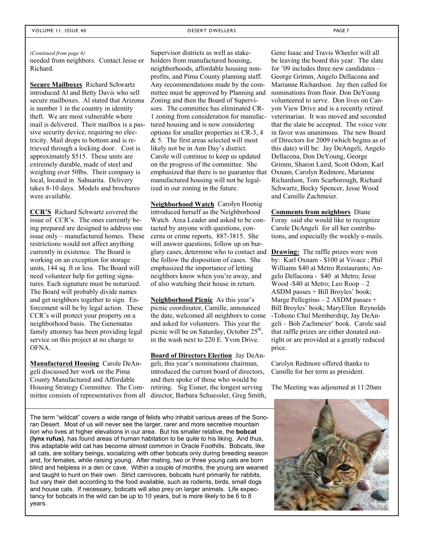#### *(Continued from page 6)*

needed from neighbors. Contact Jesse or Richard.

**Secure Mailboxes** Richard Schwartz introduced Al and Betty Davis who sell secure mailboxes. Al stated that Arizona is number 1 in the country in identity theft. We are most vulnerable where mail is delivered. Their mailbox is a passive security device, requiring no electricity. Mail drops to bottom and is retrieved through a locking door. Cost is approximately \$515. These units are extremely durable, made of steel and weighing over 50lbs. Their company is local, located in Sahuarita. Delivery takes 8-10 days. Models and brochures were available.

**CCR'S** Richard Schwartz covered the issue of CCR's. The ones currently being prepared are designed to address one issue only – manufactured homes. These restrictions would not affect anything currently in existence. The Board is working on an exception for storage units, 144 sq. ft or less. The Board will need volunteer help for getting signatures. Each signature must be notarized. The Board will probably divide names and get neighbors together to sign. Enforcement will be by legal action. These CCR's will protect your property on a neighborhood basis. The Genematas family attorney has been providing legal service on this project at no charge to OFNA.

**Manufactured Housing** Carole DeAngeli discussed her work on the Pima County Manufactured and Affordable Housing Strategy Committee. The Committee consists of representatives from all

Supervisor districts as well as stakeholders from manufactured housing, neighborhoods, affordable housing nonprofits, and Pima County planning staff. Any recommendations made by the committee must be approved by Planning and Zoning and then the Board of Supervisors. The committee has eliminated CR-1 zoning from consideration for manufactured housing and is now considering options for smaller properties in CR-3, 4 & 5. The first areas selected will most likely not be in Ann Day's district. Carole will continue to keep us updated on the progress of the committee. She emphasized that there is no guarantee that manufactured housing will not be legalized in our zoning in the future.

**Neighborhood Watch** Carolyn Hoenig introduced herself as the Neighborhood Watch Area Leader and asked to be contacted by anyone with questions, concerns or crime reports, 887-3815. She will answer questions, follow up on burglary cases, determine who to contact and the follow the disposition of cases. She emphasized the importance of letting neighbors know when you're away, and of also watching their house in return.

**Neighborhood Picnic** As this year's picnic coordinator, Camille, announced the date, welcomed all neighbors to come and asked for volunteers. This year the picnic will be on Saturday, October  $25<sup>th</sup>$ , in the wash next to 220 E. Yvon Drive.

**Board of Directors Election** Jay DeAngeli, this year's nominations chairman, introduced the current board of directors, and then spoke of those who would be retiring. Sig Eisner, the longest serving director, Barbara Schuessler, Greg Smith,

Gene Isaac and Travis Wheeler will all be leaving the board this year. The slate for '09 includes three new candidates – George Grimm, Angelo Dellacona and Marianne Richardson. Jay then called for nominations from floor. Don DeYoung volunteered to serve. Don lives on Canyon View Drive and is a recently retired veterinarian. It was moved and seconded that the slate be accepted. The voice vote in favor was unanimous. The new Board of Directors for 2009 (which begins as of this date) will be: Jay DeAngeli, Angelo Dellacona, Don DeYoung, George Grimm, Sharon Laird, Scott Odom, Karl Oxnam, Carolyn Redmore, Marianne Richardson, Tom Scarborough, Richard Schwartz, Becky Spencer, Jesse Wood and Camille Zachmeier.

**Comments from neighbors** Diane Foray said she would like to recognize Carole DeAngeli for all her contributions, and especially the weekly e-mails.

**Drawing:** The raffle prizes were won by: Karl Oxnam - \$100 at Vivace ; Phil Williams \$40 at Metro Restaurants; Angelo Dellacona - \$40 at Metro; Jesse Wood -\$40 at Metro; Leo Roop – 2 ASDM passes + Bill Broyles' book; Marge Pellegrino – 2 ASDM passes + Bill Broyles' book; MaryEllen Reynolds -Tohono Chul Membership; Jay DeAngeli – Bob Zachmeier' book. Carole said that raffle prizes are either donated outright or are provided at a greatly reduced price.

Carolyn Redmore offered thanks to Camille for her term as president.

The Meeting was adjourned at 11:20am

The term "wildcat" covers a wide range of felids who inhabit various areas of the Sonoran Desert. Most of us will never see the larger, rarer and more secretive mountain lion who lives at higher elevations in our area. But his smaller relative, the **bobcat (lynx rufus)**, has found areas of human habitation to be quite to his liking. And thus, this adaptable wild cat has become almost common in Oracle Foothills. Bobcats, like all cats, are solitary beings, socializing with other bobcats only during breeding season and, for females, while raising young. After mating, two or three young cats are born blind and helpless in a den or cave. Within a couple of months, the young are weaned and taught to hunt on their own. Strict carnivores, bobcats hunt primarily for rabbits, but vary their diet according to the food available, such as rodents, birds, small dogs and house cats. If necessary, bobcats will also prey on larger animals. Life expectancy for bobcats in the wild can be up to 10 years, but is more likely to be 6 to 8 years.